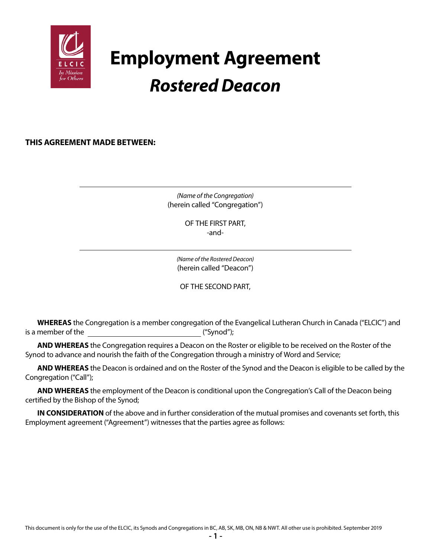

# **Employment Agreement** *Rostered Deacon*

**THIS AGREEMENT MADE BETWEEN:**

*(Name of the Congregation)* (herein called "Congregation")

> OF THE FIRST PART, -and-

*(Name of the Rostered Deacon)* (herein called "Deacon")

OF THE SECOND PART,

**WHEREAS** the Congregation is a member congregation of the Evangelical Lutheran Church in Canada ("ELCIC") and is a member of the  $($ "Synod");

**AND WHEREAS** the Congregation requires a Deacon on the Roster or eligible to be received on the Roster of the Synod to advance and nourish the faith of the Congregation through a ministry of Word and Service;

**AND WHEREAS** the Deacon is ordained and on the Roster of the Synod and the Deacon is eligible to be called by the Congregation ("Call");

**AND WHEREAS** the employment of the Deacon is conditional upon the Congregation's Call of the Deacon being certified by the Bishop of the Synod;

**IN CONSIDERATION** of the above and in further consideration of the mutual promises and covenants set forth, this Employment agreement ("Agreement") witnesses that the parties agree as follows: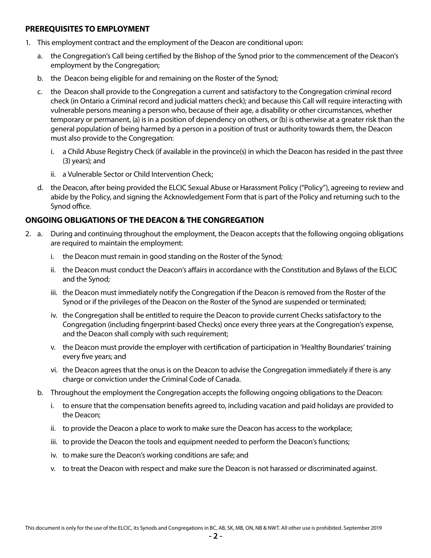#### **PREREQUISITES TO EMPLOYMENT**

- 1. This employment contract and the employment of the Deacon are conditional upon:
	- a. the Congregation's Call being certified by the Bishop of the Synod prior to the commencement of the Deacon's employment by the Congregation;
	- b. the Deacon being eligible for and remaining on the Roster of the Synod;
	- c. the Deacon shall provide to the Congregation a current and satisfactory to the Congregation criminal record check (in Ontario a Criminal record and judicial matters check); and because this Call will require interacting with vulnerable persons meaning a person who, because of their age, a disability or other circumstances, whether temporary or permanent, (a) is in a position of dependency on others, or (b) is otherwise at a greater risk than the general population of being harmed by a person in a position of trust or authority towards them, the Deacon must also provide to the Congregation:
		- i. a Child Abuse Registry Check (if available in the province(s) in which the Deacon has resided in the past three (3) years); and
		- ii. a Vulnerable Sector or Child Intervention Check;
	- d. the Deacon, after being provided the ELCIC Sexual Abuse or Harassment Policy ("Policy"), agreeing to review and abide by the Policy, and signing the Acknowledgement Form that is part of the Policy and returning such to the Synod office.

# **ONGOING OBLIGATIONS OF THE DEACON & THE CONGREGATION**

- 2. a. During and continuing throughout the employment, the Deacon accepts that the following ongoing obligations are required to maintain the employment:
	- i. the Deacon must remain in good standing on the Roster of the Synod;
	- ii. the Deacon must conduct the Deacon's affairs in accordance with the Constitution and Bylaws of the ELCIC and the Synod;
	- iii. the Deacon must immediately notify the Congregation if the Deacon is removed from the Roster of the Synod or if the privileges of the Deacon on the Roster of the Synod are suspended or terminated;
	- iv. the Congregation shall be entitled to require the Deacon to provide current Checks satisfactory to the Congregation (including fingerprint-based Checks) once every three years at the Congregation's expense, and the Deacon shall comply with such requirement;
	- v. the Deacon must provide the employer with certification of participation in 'Healthy Boundaries' training every five years; and
	- vi. the Deacon agrees that the onus is on the Deacon to advise the Congregation immediately if there is any charge or conviction under the Criminal Code of Canada.
	- b. Throughout the employment the Congregation accepts the following ongoing obligations to the Deacon:
		- i. to ensure that the compensation benefits agreed to, including vacation and paid holidays are provided to the Deacon;
		- ii. to provide the Deacon a place to work to make sure the Deacon has access to the workplace;
		- iii. to provide the Deacon the tools and equipment needed to perform the Deacon's functions;
		- iv. to make sure the Deacon's working conditions are safe; and
		- v. to treat the Deacon with respect and make sure the Deacon is not harassed or discriminated against.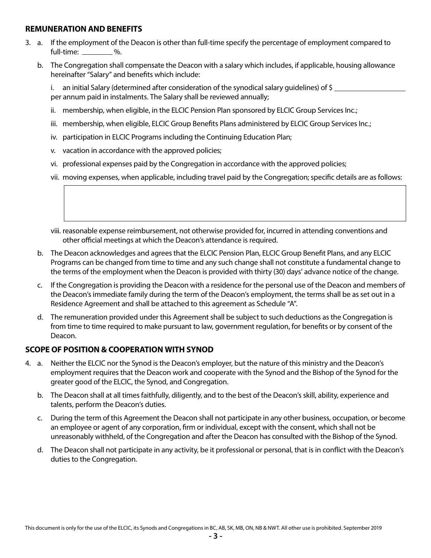#### **REMUNERATION AND BENEFITS**

- 3. a. If the employment of the Deacon is other than full-time specify the percentage of employment compared to full-time: \_\_\_\_\_\_\_\_ %.
	- b. The Congregation shall compensate the Deacon with a salary which includes, if applicable, housing allowance hereinafter "Salary" and benefits which include:

 i. an initial Salary (determined after consideration of the synodical salary guidelines) of \$ per annum paid in instalments. The Salary shall be reviewed annually;

- ii. membership, when eligible, in the ELCIC Pension Plan sponsored by ELCIC Group Services Inc.;
- iii. membership, when eligible, ELCIC Group Benefits Plans administered by ELCIC Group Services Inc.;
- iv. participation in ELCIC Programs including the Continuing Education Plan;
- v. vacation in accordance with the approved policies;
- vi. professional expenses paid by the Congregation in accordance with the approved policies;
- vii. moving expenses, when applicable, including travel paid by the Congregation; specific details are as follows:
- viii. reasonable expense reimbursement, not otherwise provided for, incurred in attending conventions and other official meetings at which the Deacon's attendance is required.
- b. The Deacon acknowledges and agrees that the ELCIC Pension Plan, ELCIC Group Benefit Plans, and any ELCIC Programs can be changed from time to time and any such change shall not constitute a fundamental change to the terms of the employment when the Deacon is provided with thirty (30) days' advance notice of the change.
- c. If the Congregation is providing the Deacon with a residence for the personal use of the Deacon and members of the Deacon's immediate family during the term of the Deacon's employment, the terms shall be as set out in a Residence Agreement and shall be attached to this agreement as Schedule "A".
- d. The remuneration provided under this Agreement shall be subject to such deductions as the Congregation is from time to time required to make pursuant to law, government regulation, for benefits or by consent of the Deacon.

# **SCOPE OF POSITION & COOPERATION WITH SYNOD**

- 4. a. Neither the ELCIC nor the Synod is the Deacon's employer, but the nature of this ministry and the Deacon's employment requires that the Deacon work and cooperate with the Synod and the Bishop of the Synod for the greater good of the ELCIC, the Synod, and Congregation.
	- b. The Deacon shall at all times faithfully, diligently, and to the best of the Deacon's skill, ability, experience and talents, perform the Deacon's duties.
	- c. During the term of this Agreement the Deacon shall not participate in any other business, occupation, or become an employee or agent of any corporation, firm or individual, except with the consent, which shall not be unreasonably withheld, of the Congregation and after the Deacon has consulted with the Bishop of the Synod.
	- d. The Deacon shall not participate in any activity, be it professional or personal, that is in conflict with the Deacon's duties to the Congregation.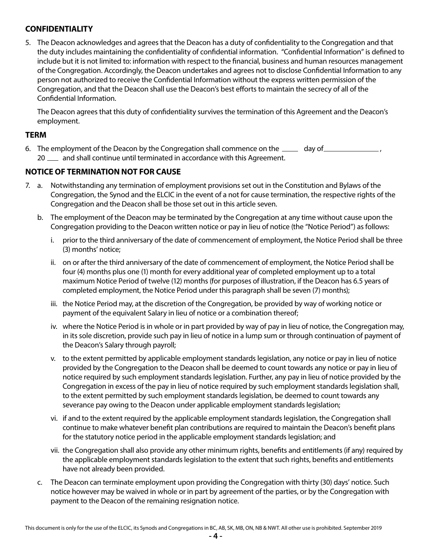# **CONFIDENTIALITY**

5. The Deacon acknowledges and agrees that the Deacon has a duty of confidentiality to the Congregation and that the duty includes maintaining the confidentiality of confidential information. "Confidential Information" is defined to include but it is not limited to: information with respect to the financial, business and human resources management of the Congregation. Accordingly, the Deacon undertakes and agrees not to disclose Confidential Information to any person not authorized to receive the Confidential Information without the express written permission of the Congregation, and that the Deacon shall use the Deacon's best efforts to maintain the secrecy of all of the Confidential Information.

The Deacon agrees that this duty of confidentiality survives the termination of this Agreement and the Deacon's employment.

#### **TERM**

6. The employment of the Deacon by the Congregation shall commence on the  $\Box$  day of  $\Box$ 20  $\mu$  and shall continue until terminated in accordance with this Agreement.

#### **NOTICE OF TERMINATION NOT FOR CAUSE**

- 7. a. Notwithstanding any termination of employment provisions set out in the Constitution and Bylaws of the Congregation, the Synod and the ELCIC in the event of a not for cause termination, the respective rights of the Congregation and the Deacon shall be those set out in this article seven.
	- b. The employment of the Deacon may be terminated by the Congregation at any time without cause upon the Congregation providing to the Deacon written notice or pay in lieu of notice (the "Notice Period") as follows:
		- i. prior to the third anniversary of the date of commencement of employment, the Notice Period shall be three (3) months' notice;
		- ii. on or after the third anniversary of the date of commencement of employment, the Notice Period shall be four (4) months plus one (1) month for every additional year of completed employment up to a total maximum Notice Period of twelve (12) months (for purposes of illustration, if the Deacon has 6.5 years of completed employment, the Notice Period under this paragraph shall be seven (7) months);
		- iii. the Notice Period may, at the discretion of the Congregation, be provided by way of working notice or payment of the equivalent Salary in lieu of notice or a combination thereof;
		- iv. where the Notice Period is in whole or in part provided by way of pay in lieu of notice, the Congregation may, in its sole discretion, provide such pay in lieu of notice in a lump sum or through continuation of payment of the Deacon's Salary through payroll;
		- v. to the extent permitted by applicable employment standards legislation, any notice or pay in lieu of notice provided by the Congregation to the Deacon shall be deemed to count towards any notice or pay in lieu of notice required by such employment standards legislation. Further, any pay in lieu of notice provided by the Congregation in excess of the pay in lieu of notice required by such employment standards legislation shall, to the extent permitted by such employment standards legislation, be deemed to count towards any severance pay owing to the Deacon under applicable employment standards legislation;
		- vi. if and to the extent required by the applicable employment standards legislation, the Congregation shall continue to make whatever benefit plan contributions are required to maintain the Deacon's benefit plans for the statutory notice period in the applicable employment standards legislation; and
		- vii. the Congregation shall also provide any other minimum rights, benefits and entitlements (if any) required by the applicable employment standards legislation to the extent that such rights, benefits and entitlements have not already been provided.
	- c. The Deacon can terminate employment upon providing the Congregation with thirty (30) days' notice. Such notice however may be waived in whole or in part by agreement of the parties, or by the Congregation with payment to the Deacon of the remaining resignation notice.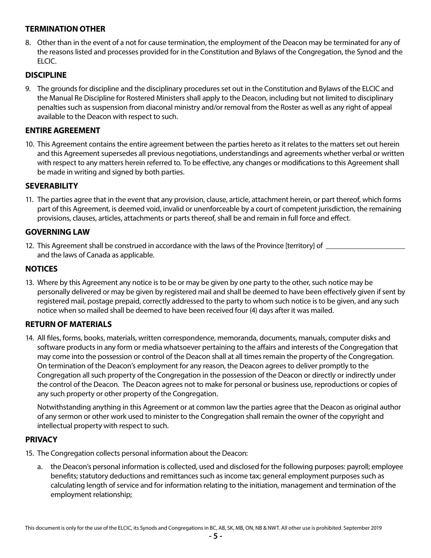# **TERMINATION OTHER**

8. Other than in the event of a not for cause termination, the employment of the Deacon may be terminated for any of the reasons listed and processes provided for in the Constitution and Bylaws of the Congregation, the Synod and the ELCIC.

#### **DISCIPLINE**

9. The grounds for discipline and the disciplinary procedures set out in the Constitution and Bylaws of the ELCIC and the Manual Re Discipline for Rostered Ministers shall apply to the Deacon, including but not limited to disciplinary penalties such as suspension from diaconal ministry and/or removal from the Roster as well as any right of appeal available to the Deacon with respect to such.

#### **ENTIRE AGREEMENT**

10. This Agreement contains the entire agreement between the parties hereto as it relates to the matters set out herein and this Agreement supersedes all previous negotiations, understandings and agreements whether verbal or written with respect to any matters herein referred to. To be effective, any changes or modifications to this Agreement shall be made in writing and signed by both parties.

#### **SEVERABILITY**

11. The parties agree that in the event that any provision, clause, article, attachment herein, or part thereof, which forms part of this Agreement, is deemed void, invalid or unenforceable by a court of competent jurisdiction, the remaining provisions, clauses, articles, attachments or parts thereof, shall be and remain in full force and effect.

#### **GOVERNING LAW**

12. This Agreement shall be construed in accordance with the laws of the Province [territory] of \_\_\_\_\_\_\_\_\_ and the laws of Canada as applicable.

#### **NOTICES**

13. Where by this Agreement any notice is to be or may be given by one party to the other, such notice may be personally delivered or may be given by registered mail and shall be deemed to have been effectively given if sent by registered mail, postage prepaid, correctly addressed to the party to whom such notice is to be given, and any such notice when so mailed shall be deemed to have been received four (4) days after it was mailed.

#### **RETURN OF MATERIALS**

14. All files, forms, books, materials, written correspondence, memoranda, documents, manuals, computer disks and software products in any form or media whatsoever pertaining to the affairs and interests of the Congregation that may come into the possession or control of the Deacon shall at all times remain the property of the Congregation. On termination of the Deacon's employment for any reason, the Deacon agrees to deliver promptly to the Congregation all such property of the Congregation in the possession of the Deacon or directly or indirectly under the control of the Deacon. The Deacon agrees not to make for personal or business use, reproductions or copies of any such property or other property of the Congregation.

Notwithstanding anything in this Agreement or at common law the parties agree that the Deacon as original author of any sermon or other work used to minister to the Congregation shall remain the owner of the copyright and intellectual property with respect to such.

#### **PRIVACY**

- 15. The Congregation collects personal information about the Deacon:
	- a. the Deacon's personal information is collected, used and disclosed for the following purposes: payroll; employee benefits; statutory deductions and remittances such as income tax; general employment purposes such as calculating length of service and for information relating to the initiation, management and termination of the employment relationship;